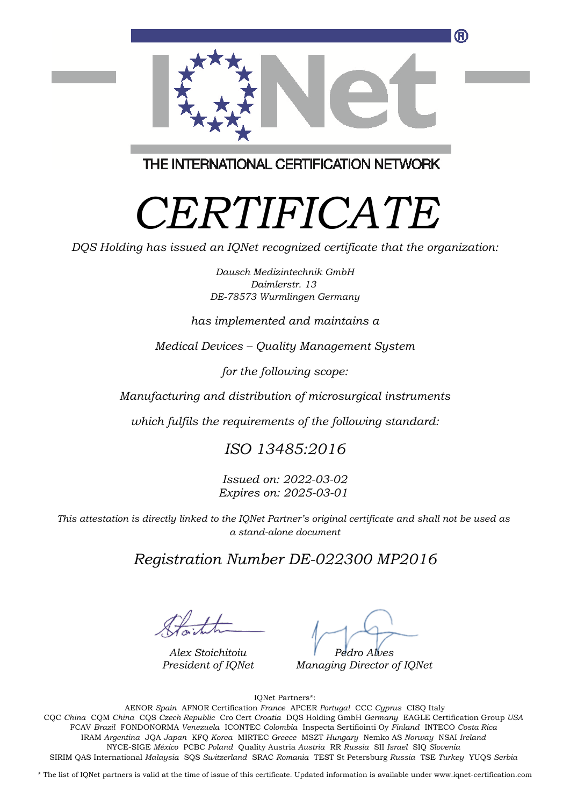

THE INTERNATIONAL CERTIFICATION NETWORK

# *CERTIFICATE*

*DQS Holding has issued an IQNet recognized certificate that the organization:*

*Dausch Medizintechnik GmbH Daimlerstr. 13 DE-78573 Wurmlingen Germany*

#### *has implemented and maintains a*

*Medical Devices – Quality Management System*

*for the following scope:*

*Manufacturing and distribution of microsurgical instruments*

*which fulfils the requirements of the following standard:*

### *ISO 13485:2016*

*Issued on: 2022-03-02 Expires on: 2025-03-01*

*This attestation is directly linked to the IQNet Partner's original certificate and shall not be used as a stand-alone document*

### *Registration Number DE-022300 MP2016*

*Alex Stoichitoiu President of IQNet*

*Pedro Alves*

*Managing Director of IQNet*

IQNet Partners\*:

This annex is only valid in connection with the above-mentioned certificate. FCAV *Brazil* FONDONORMA *Venezuela* ICONTEC *Colombia* Inspecta Sertifiointi Oy *Finland* INTECO *Costa Rica* AENOR *Spain* AFNOR Certification *France* APCER *Portugal* CCC *Cyprus* CISQ Italy CQC *China* CQM *China* CQS *Czech Republic* Cro Cert *Croatia* DQS Holding GmbH *Germany* EAGLE Certification Group *USA* IRAM *Argentina* JQA *Japan* KFQ *Korea* MIRTEC *Greece* MSZT *Hungary* Nemko AS *Norway* NSAI *Ireland* NYCE-SIGE *México* PCBC *Poland* Quality Austria *Austria* RR *Russia* SII *Israel* SIQ *Slovenia* SIRIM QAS International *Malaysia* SQS *Switzerland* SRAC *Romania* TEST St Petersburg *Russia* TSE *Turkey* YUQS *Serbia*

\* The list of IQNet partners is valid at the time of issue of this certificate. Updated information is available under www.iqnet-certification.com